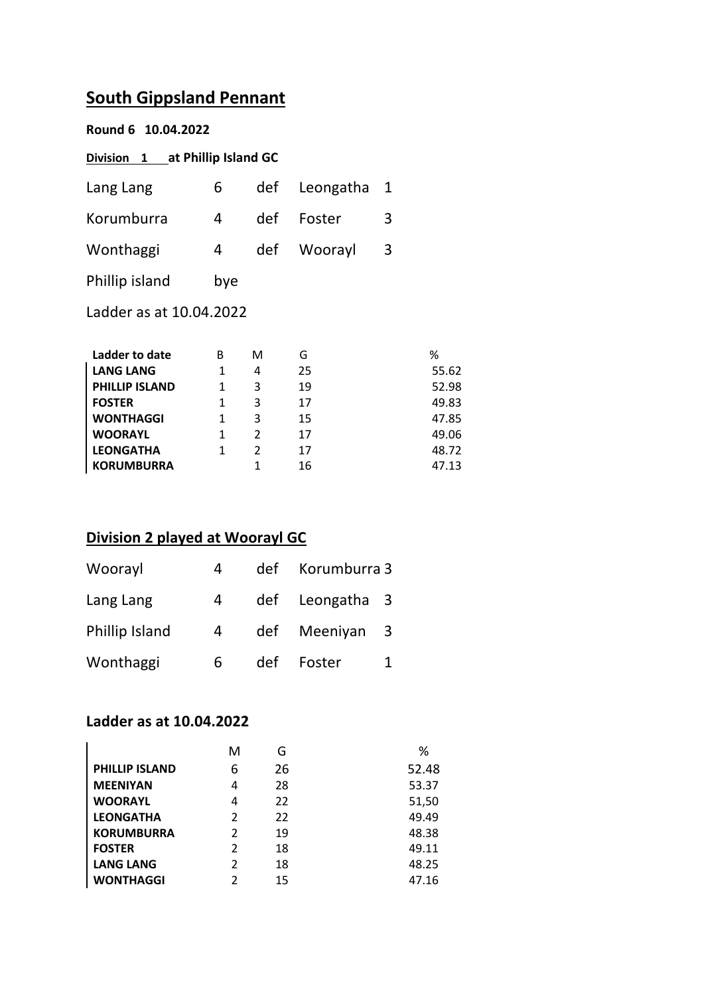# **South Gippsland Pennant**

| Round 6 10.04.2022              |              |                |           |   |       |  |
|---------------------------------|--------------|----------------|-----------|---|-------|--|
| Division 1 at Phillip Island GC |              |                |           |   |       |  |
| Lang Lang                       | 6            | def            | Leongatha | 1 |       |  |
| Korumburra                      | 4            | def            | Foster    | 3 |       |  |
| Wonthaggi                       | 4            | def            | Woorayl   | 3 |       |  |
| Phillip island                  | bye          |                |           |   |       |  |
| Ladder as at 10.04.2022         |              |                |           |   |       |  |
|                                 |              |                |           |   |       |  |
| Ladder to date                  | B            | м              | G         |   | ℅     |  |
| <b>LANG LANG</b>                | $\mathbf{1}$ | 4              | 25        |   | 55.62 |  |
| <b>PHILLIP ISLAND</b>           | $\mathbf{1}$ | 3              | 19        |   | 52.98 |  |
| <b>FOSTER</b>                   | 1            | 3              | 17        |   | 49.83 |  |
| <b>WONTHAGGI</b>                | $\mathbf{1}$ | 3              | 15        |   | 47.85 |  |
| <b>WOORAYL</b>                  | $\mathbf{1}$ | $\mathcal{P}$  | 17        |   | 49.06 |  |
| <b>LEONGATHA</b>                | 1            | $\overline{2}$ | 17        |   | 48.72 |  |
| <b>KORUMBURRA</b>               |              | 1              | 16        |   | 47.13 |  |

### **Division 2 played at Woorayl GC**

| Woorayl        | 4 | def | Korumburra 3    |  |
|----------------|---|-----|-----------------|--|
| Lang Lang      | 4 |     | def Leongatha 3 |  |
| Phillip Island | 4 | def | Meeniyan 3      |  |
| Wonthaggi      | 6 | def | Foster          |  |

#### **Ladder as at 10.04.2022**

|                       | м             | G  | ℅     |
|-----------------------|---------------|----|-------|
| <b>PHILLIP ISLAND</b> | 6             | 26 | 52.48 |
| <b>MEENIYAN</b>       | 4             | 28 | 53.37 |
| <b>WOORAYL</b>        | 4             | 22 | 51,50 |
| <b>LEONGATHA</b>      | $\mathfrak z$ | 22 | 49.49 |
| <b>KORUMBURRA</b>     | $\mathfrak z$ | 19 | 48.38 |
| <b>FOSTER</b>         | $\mathfrak z$ | 18 | 49.11 |
| <b>LANG LANG</b>      | 2             | 18 | 48.25 |
| <b>WONTHAGGI</b>      | ς             | 15 | 47.16 |